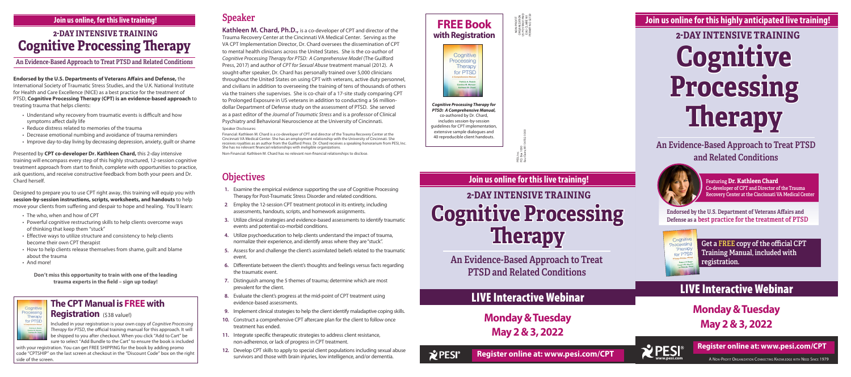**Endorsed by the U.S. Departments of Veterans Affairs and Defense,** the International Society of Traumatic Stress Studies, and the U.K. National Institute for Health and Care Excellence (NICE) as a best practice for the treatment of PTSD, **Cognitive Processing Therapy (CPT) is an evidence-based approach** to treating trauma that helps clients:

- Understand why recovery from traumatic events is difficult and how symptoms affect daily life
- Reduce distress related to memories of the trauma
- Decrease emotional numbing and avoidance of trauma reminders
- Improve day-to-day living by decreasing depression, anxiety, guilt or shame

Presented by **CPT co-developer Dr. Kathleen Chard,** this 2-day intensive training will encompass every step of this highly structured, 12-session cognitive treatment approach from start to finish, complete with opportunities to practice, ask questions, and receive constructive feedback from both your peers and Dr. Chard herself.

Designed to prepare you to use CPT right away, this training will equip you with **session-by-session instructions, scripts, worksheets, and handouts** to help move your clients from suffering and despair to hope and healing. You'll learn:

- The who, when and how of CPT
- Powerful cognitive restructuring skills to help clients overcome ways of thinking that keep them "stuck"
- Effective ways to utilize structure and consistency to help clients become their own CPT therapist
- How to help clients release themselves from shame, guilt and blame about the trauma
- And more!

Cognitiv Processing Therapy for PTSD

**Don't miss this opportunity to train with one of the leading trauma experts in the field – sign up today!**

# Speaker

**Kathleen M. Chard, Ph.D.,** is a co-developer of CPT and director of the Trauma Recovery Center at the Cincinnati VA Medical Center. Serving as the VA CPT Implementation Director, Dr. Chard oversees the dissemination of CPT to mental health clinicians across the United States. She is the co-author of *Cognitive Processing Therapy for PTSD: A Comprehensive Model* (The Guilford Press, 2017) and author of *CPT for Sexual Abuse* treatment manual (2012). A sought-after speaker, Dr. Chard has personally trained over 5,000 clinicians throughout the United States on using CPT with veterans, active duty personnel, and civilians in addition to overseeing the training of tens of thousands of others via the trainers she supervises. She is co-chair of a 17-site study comparing CPT to Prolonged Exposure in US veterans in addition to conducting a \$6 milliondollar Department of Defense study on the assessment of PTSD. She served as a past editor of the *Journal of Traumatic Stress* and is a professor of Clinical Psychiatry and Behavioral Neuroscience at the University of Cincinnati. Speaker Disclosures:

Eau Claire, WI 54702-1000  $88$ P.O. Box 1000 PESI, Inc.<br>P.O. Box<br>Fau Clair

Financial: Kathleen M. Chard is a co-developer of CPT and director of the Trauma Recovery Center at the Cincinnati VA Medical Center. She has an employment relationship with the University of Cincinnati. She receives royalties as an author from the Guilford Press. Dr. Chard receives a speaking honorarium from PESI, Inc. She has no relevant financial relationships with ineligible organizations.

with your registration. You can get FREE SHIPPING for the book by adding promo code "CPTSHIP" on the last screen at checkout in the "Discount Code" box on the right code "CPTSHIP" on the last screen at checkout in the "Discount Code" box on the right survivors and those with brain injuries, low intelligence, and/or dementia. **PESI®Register online at: www.pesi.com/CPT** 

Non-Financial: Kathleen M. Chard has no relevant non-financial relationships to disclose.

# **Objectives**

**PESI**<sup>®</sup> Register online at: www.pesi.com/CPT<br>A Non-Profit Organization Connecting Knowledge with Need Since 1979 **Register online at: www.pesi.com/CPT**

- **1.** Examine the empirical evidence supporting the use of Cognitive Processing Therapy for Post-Traumatic Stress Disorder and related conditions.
- **2**. Employ the 12-session CPT treatment protocol in its entirety, including assessments, handouts, scripts, and homework assignments.
- **3.** Utilize clinical strategies and evidence-based assessments to identify traumatic events and potential co-morbid conditions.
- **4.** Utilize psychoeducation to help clients understand the impact of trauma, normalize their experience, and identify areas where they are "stuck".
- **5.** Assess for and challenge the client's assimilated beliefs related to the traumatic event.
- **6.** Differentiate between the client's thoughts and feelings versus facts regarding the traumatic event.
- **7.** Distinguish among the 5 themes of trauma; determine which are most prevalent for the client.
- **8.** Evaluate the client's progress at the mid-point of CPT treatment using evidence-based assessments.
- **9.** Implement clinical strategies to help the client identify maladaptive coping skills.
- **10.** Construct a comprehensive CPT aftercare plan for the client to follow once treatment has ended.
- **11.** Integrate specific therapeutic strategies to address client resistance, non-adherence, or lack of progress in CPT treatment.
- **12.** Develop CPT skills to apply to special client populations including sexual abuse survivors and those with brain injuries, low intelligence, and/or dementia.

# **Cognitive Processing Therapy 2-DAY INTENSIVE TRAINING**

# An Evidence-Based Approach to Treat PTSD and Related Conditions



Featuring **Dr. Kathleen Chard** Co-developer of CPT and Director of the Trauma Recovery Center at the Cincinnati VA Medical Center

Endorsed by the U.S. Department of Veterans Affairs and Defense as a best practice for the treatment of PTSD



**Join us online for this highly anticipated live training!** 

NON-PROFIT ORGANIZATION US POSTAGE PAID EAU CLAIRE WI PERMIT NO 32729

NON-PROFIT<br>ORGANIZATION<br>JS POSTAGE PAID<br>EAU CLAIRE WI<br>PERMIT NO 32722

# **Cognitive Processing Therapy 2-DAY INTENSIVE TRAINING**

An Evidence-Based Approach to Treat PTSD and Related Conditions

## **Join us online for this live training!**

# **Cognitive Processing Therapy 2-DAY INTENSIVE TRAINING**

An Evidence-Based Approach to Treat PTSD and Related Conditions

### **Join us online, for this live training!**

# LIVE Interactive Webinar

**Monday & Tuesday May 2 & 3, 2022**



# LIVE Interactive Webinar

**Monday & Tuesday May 2 & 3, 2022**







*Cognitive Processing Therapy for PTSD: A Comprehensive Manual,*  co-authored by Dr. Chard, includes session-by-session guidelines for CPT implementation, extensive sample dialogues and 40 reproducible client handouts.

> Get a FREE copy of the official CPT Training Manual, included with registration.

# **The CPT Manual is FREE with**

#### **Registration** (\$38 value!)

Included in your registration is your own copy of *Cognitive Processing Therapy for PTSD*, the official training manual for this approach. It will be shipped to you after checkout. When you click "Add to Cart" be sure to select "Add Bundle to the Cart" to ensure the book is included